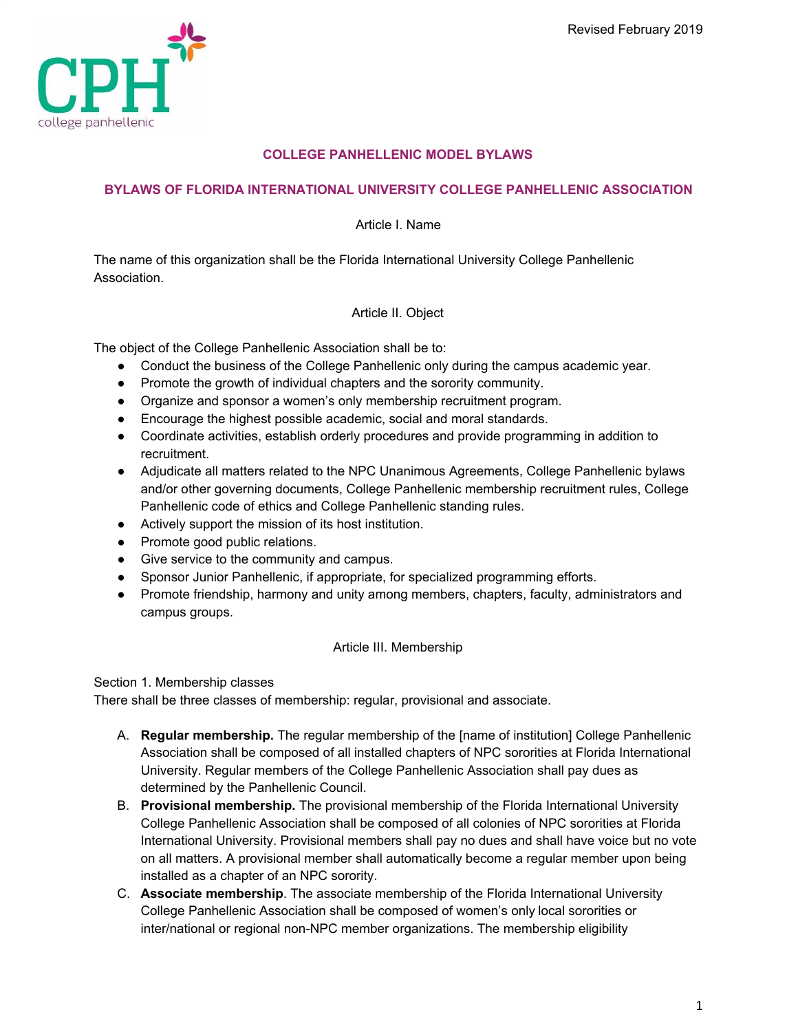

# **COLLEGE PANHELLENIC MODEL BYLAWS**

# **BYLAWS OF FLORIDA INTERNATIONAL UNIVERSITY COLLEGE PANHELLENIC ASSOCIATION**

Article I. Name

The name of this organization shall be the Florida International University College Panhellenic Association.

# Article II. Object

The object of the College Panhellenic Association shall be to:

- Conduct the business of the College Panhellenic only during the campus academic year.
- Promote the growth of individual chapters and the sorority community.
- Organize and sponsor a women's only membership recruitment program.
- Encourage the highest possible academic, social and moral standards.
- Coordinate activities, establish orderly procedures and provide programming in addition to recruitment.
- Adjudicate all matters related to the NPC Unanimous Agreements, College Panhellenic bylaws and/or other governing documents, College Panhellenic membership recruitment rules, College Panhellenic code of ethics and College Panhellenic standing rules.
- Actively support the mission of its host institution.
- Promote good public relations.
- Give service to the community and campus.
- Sponsor Junior Panhellenic, if appropriate, for specialized programming efforts.
- Promote friendship, harmony and unity among members, chapters, faculty, administrators and campus groups.

## Article III. Membership

Section 1. Membership classes

There shall be three classes of membership: regular, provisional and associate.

- A. **Regular membership.** The regular membership of the [name of institution] College Panhellenic Association shall be composed of all installed chapters of NPC sororities at Florida International University. Regular members of the College Panhellenic Association shall pay dues as determined by the Panhellenic Council.
- B. **Provisional membership.** The provisional membership of the Florida International University College Panhellenic Association shall be composed of all colonies of NPC sororities at Florida International University. Provisional members shall pay no dues and shall have voice but no vote on all matters. A provisional member shall automatically become a regular member upon being installed as a chapter of an NPC sorority.
- C. **Associate membership**. The associate membership of the Florida International University College Panhellenic Association shall be composed of women's only local sororities or inter/national or regional non-NPC member organizations. The membership eligibility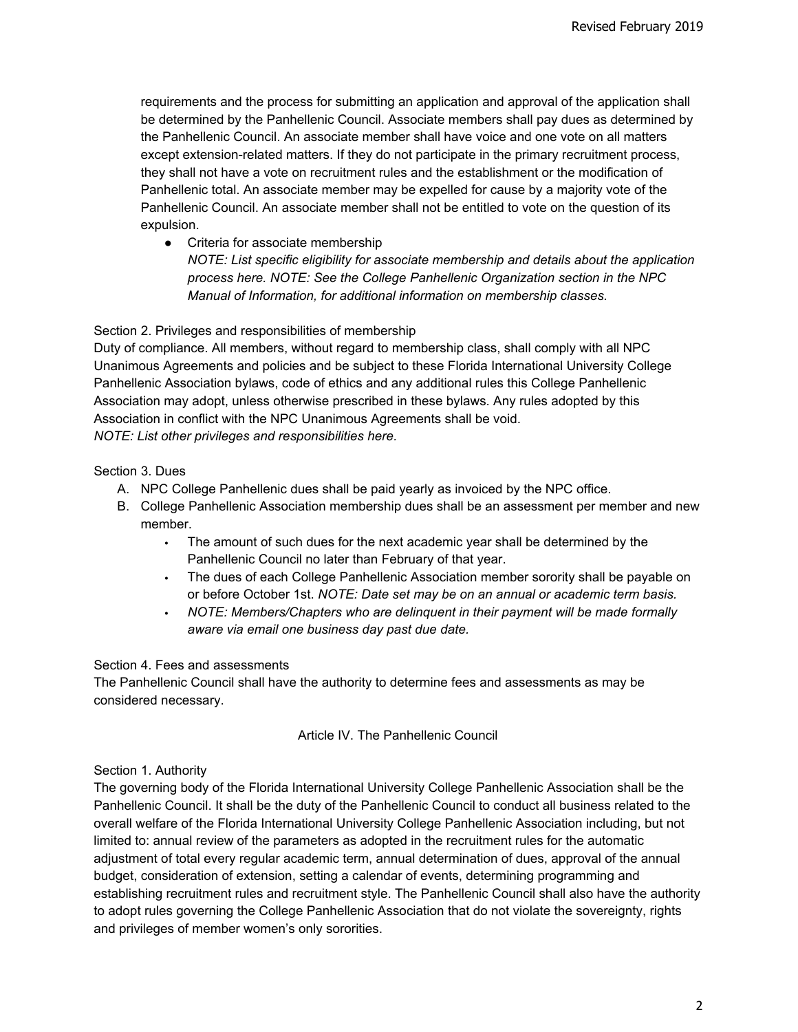requirements and the process for submitting an application and approval of the application shall be determined by the Panhellenic Council. Associate members shall pay dues as determined by the Panhellenic Council. An associate member shall have voice and one vote on all matters except extension-related matters. If they do not participate in the primary recruitment process, they shall not have a vote on recruitment rules and the establishment or the modification of Panhellenic total. An associate member may be expelled for cause by a majority vote of the Panhellenic Council. An associate member shall not be entitled to vote on the question of its expulsion.

● Criteria for associate membership

*NOTE: List specific eligibility for associate membership and details about the application process here. NOTE: See the College Panhellenic Organization section in the NPC Manual of Information, for additional information on membership classes.*

#### Section 2. Privileges and responsibilities of membership

Duty of compliance. All members, without regard to membership class, shall comply with all NPC Unanimous Agreements and policies and be subject to these Florida International University College Panhellenic Association bylaws, code of ethics and any additional rules this College Panhellenic Association may adopt, unless otherwise prescribed in these bylaws. Any rules adopted by this Association in conflict with the NPC Unanimous Agreements shall be void. *NOTE: List other privileges and responsibilities here.*

#### Section 3. Dues

- A. NPC College Panhellenic dues shall be paid yearly as invoiced by the NPC office.
- B. College Panhellenic Association membership dues shall be an assessment per member and new member.
	- The amount of such dues for the next academic year shall be determined by the Panhellenic Council no later than February of that year.
	- The dues of each College Panhellenic Association member sorority shall be payable on or before October 1st. *NOTE: Date set may be on an annual or academic term basis.*
	- *NOTE: Members/Chapters who are delinquent in their payment will be made formally aware via email one business day past due date.*

#### Section 4. Fees and assessments

The Panhellenic Council shall have the authority to determine fees and assessments as may be considered necessary.

#### Article IV. The Panhellenic Council

#### Section 1. Authority

The governing body of the Florida International University College Panhellenic Association shall be the Panhellenic Council. It shall be the duty of the Panhellenic Council to conduct all business related to the overall welfare of the Florida International University College Panhellenic Association including, but not limited to: annual review of the parameters as adopted in the recruitment rules for the automatic adjustment of total every regular academic term, annual determination of dues, approval of the annual budget, consideration of extension, setting a calendar of events, determining programming and establishing recruitment rules and recruitment style. The Panhellenic Council shall also have the authority to adopt rules governing the College Panhellenic Association that do not violate the sovereignty, rights and privileges of member women's only sororities.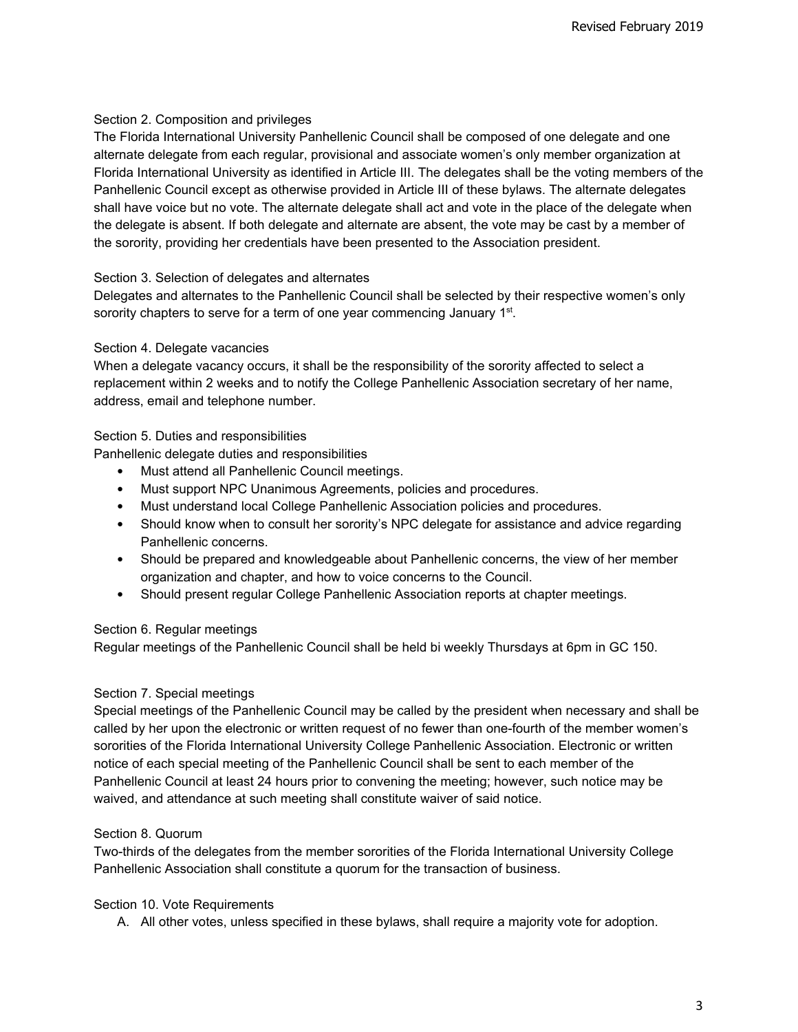## Section 2. Composition and privileges

The Florida International University Panhellenic Council shall be composed of one delegate and one alternate delegate from each regular, provisional and associate women's only member organization at Florida International University as identified in Article III. The delegates shall be the voting members of the Panhellenic Council except as otherwise provided in Article III of these bylaws. The alternate delegates shall have voice but no vote. The alternate delegate shall act and vote in the place of the delegate when the delegate is absent. If both delegate and alternate are absent, the vote may be cast by a member of the sorority, providing her credentials have been presented to the Association president.

#### Section 3. Selection of delegates and alternates

Delegates and alternates to the Panhellenic Council shall be selected by their respective women's only sorority chapters to serve for a term of one year commencing January 1<sup>st</sup>.

#### Section 4. Delegate vacancies

When a delegate vacancy occurs, it shall be the responsibility of the sorority affected to select a replacement within 2 weeks and to notify the College Panhellenic Association secretary of her name, address, email and telephone number.

#### Section 5. Duties and responsibilities

Panhellenic delegate duties and responsibilities

- Must attend all Panhellenic Council meetings.
- Must support NPC Unanimous Agreements, policies and procedures.
- Must understand local College Panhellenic Association policies and procedures.
- Should know when to consult her sorority's NPC delegate for assistance and advice regarding Panhellenic concerns.
- Should be prepared and knowledgeable about Panhellenic concerns, the view of her member organization and chapter, and how to voice concerns to the Council.
- Should present regular College Panhellenic Association reports at chapter meetings.

#### Section 6. Regular meetings

Regular meetings of the Panhellenic Council shall be held bi weekly Thursdays at 6pm in GC 150.

## Section 7. Special meetings

Special meetings of the Panhellenic Council may be called by the president when necessary and shall be called by her upon the electronic or written request of no fewer than one-fourth of the member women's sororities of the Florida International University College Panhellenic Association. Electronic or written notice of each special meeting of the Panhellenic Council shall be sent to each member of the Panhellenic Council at least 24 hours prior to convening the meeting; however, such notice may be waived, and attendance at such meeting shall constitute waiver of said notice.

#### Section 8. Quorum

Two-thirds of the delegates from the member sororities of the Florida International University College Panhellenic Association shall constitute a quorum for the transaction of business.

#### Section 10. Vote Requirements

A. All other votes, unless specified in these bylaws, shall require a majority vote for adoption.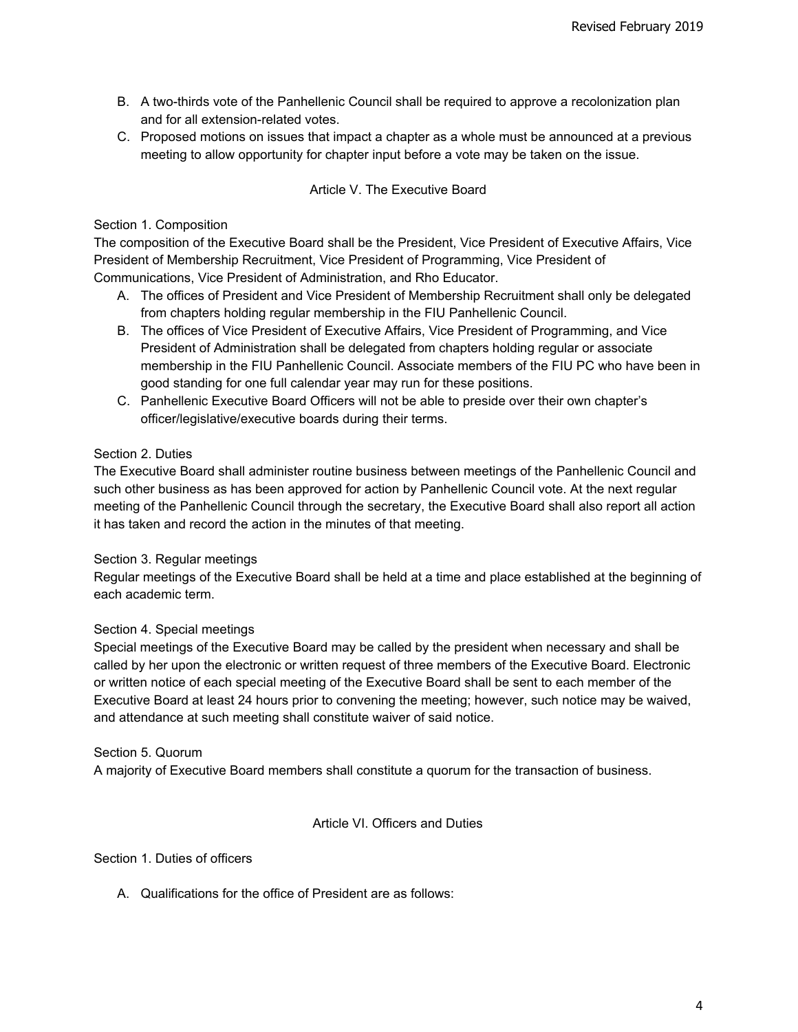- B. A two-thirds vote of the Panhellenic Council shall be required to approve a recolonization plan and for all extension-related votes.
- C. Proposed motions on issues that impact a chapter as a whole must be announced at a previous meeting to allow opportunity for chapter input before a vote may be taken on the issue.

# Article V. The Executive Board

## Section 1. Composition

The composition of the Executive Board shall be the President, Vice President of Executive Affairs, Vice President of Membership Recruitment, Vice President of Programming, Vice President of Communications, Vice President of Administration, and Rho Educator.

- A. The offices of President and Vice President of Membership Recruitment shall only be delegated from chapters holding regular membership in the FIU Panhellenic Council.
- B. The offices of Vice President of Executive Affairs, Vice President of Programming, and Vice President of Administration shall be delegated from chapters holding regular or associate membership in the FIU Panhellenic Council. Associate members of the FIU PC who have been in good standing for one full calendar year may run for these positions.
- C. Panhellenic Executive Board Officers will not be able to preside over their own chapter's officer/legislative/executive boards during their terms.

# Section 2. Duties

The Executive Board shall administer routine business between meetings of the Panhellenic Council and such other business as has been approved for action by Panhellenic Council vote. At the next regular meeting of the Panhellenic Council through the secretary, the Executive Board shall also report all action it has taken and record the action in the minutes of that meeting.

## Section 3. Regular meetings

Regular meetings of the Executive Board shall be held at a time and place established at the beginning of each academic term.

# Section 4. Special meetings

Special meetings of the Executive Board may be called by the president when necessary and shall be called by her upon the electronic or written request of three members of the Executive Board. Electronic or written notice of each special meeting of the Executive Board shall be sent to each member of the Executive Board at least 24 hours prior to convening the meeting; however, such notice may be waived, and attendance at such meeting shall constitute waiver of said notice.

## Section 5. Quorum

A majority of Executive Board members shall constitute a quorum for the transaction of business.

## Article VI. Officers and Duties

Section 1. Duties of officers

A. Qualifications for the office of President are as follows: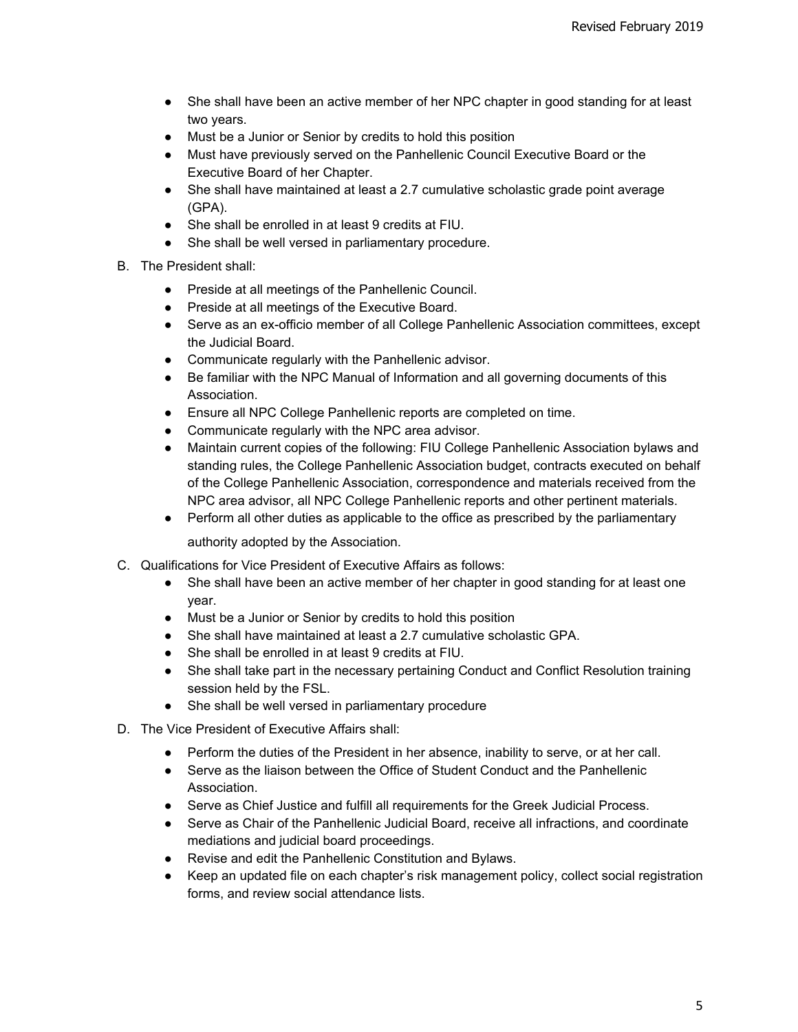- She shall have been an active member of her NPC chapter in good standing for at least two years.
- Must be a Junior or Senior by credits to hold this position
- Must have previously served on the Panhellenic Council Executive Board or the Executive Board of her Chapter.
- She shall have maintained at least a 2.7 cumulative scholastic grade point average (GPA).
- She shall be enrolled in at least 9 credits at FIU.
- She shall be well versed in parliamentary procedure.
- B. The President shall:
	- Preside at all meetings of the Panhellenic Council.
	- Preside at all meetings of the Executive Board.
	- Serve as an ex-officio member of all College Panhellenic Association committees, except the Judicial Board.
	- Communicate regularly with the Panhellenic advisor.
	- Be familiar with the NPC Manual of Information and all governing documents of this Association.
	- Ensure all NPC College Panhellenic reports are completed on time.
	- Communicate regularly with the NPC area advisor.
	- Maintain current copies of the following: FIU College Panhellenic Association bylaws and standing rules, the College Panhellenic Association budget, contracts executed on behalf of the College Panhellenic Association, correspondence and materials received from the NPC area advisor, all NPC College Panhellenic reports and other pertinent materials.
	- Perform all other duties as applicable to the office as prescribed by the parliamentary authority adopted by the Association.
- C. Qualifications for Vice President of Executive Affairs as follows:
	- She shall have been an active member of her chapter in good standing for at least one year.
	- Must be a Junior or Senior by credits to hold this position
	- She shall have maintained at least a 2.7 cumulative scholastic GPA.
	- She shall be enrolled in at least 9 credits at FIU.
	- She shall take part in the necessary pertaining Conduct and Conflict Resolution training session held by the FSL.
	- She shall be well versed in parliamentary procedure
- D. The Vice President of Executive Affairs shall:
	- Perform the duties of the President in her absence, inability to serve, or at her call.
	- Serve as the liaison between the Office of Student Conduct and the Panhellenic Association.
	- Serve as Chief Justice and fulfill all requirements for the Greek Judicial Process.
	- Serve as Chair of the Panhellenic Judicial Board, receive all infractions, and coordinate mediations and judicial board proceedings.
	- Revise and edit the Panhellenic Constitution and Bylaws.
	- Keep an updated file on each chapter's risk management policy, collect social registration forms, and review social attendance lists.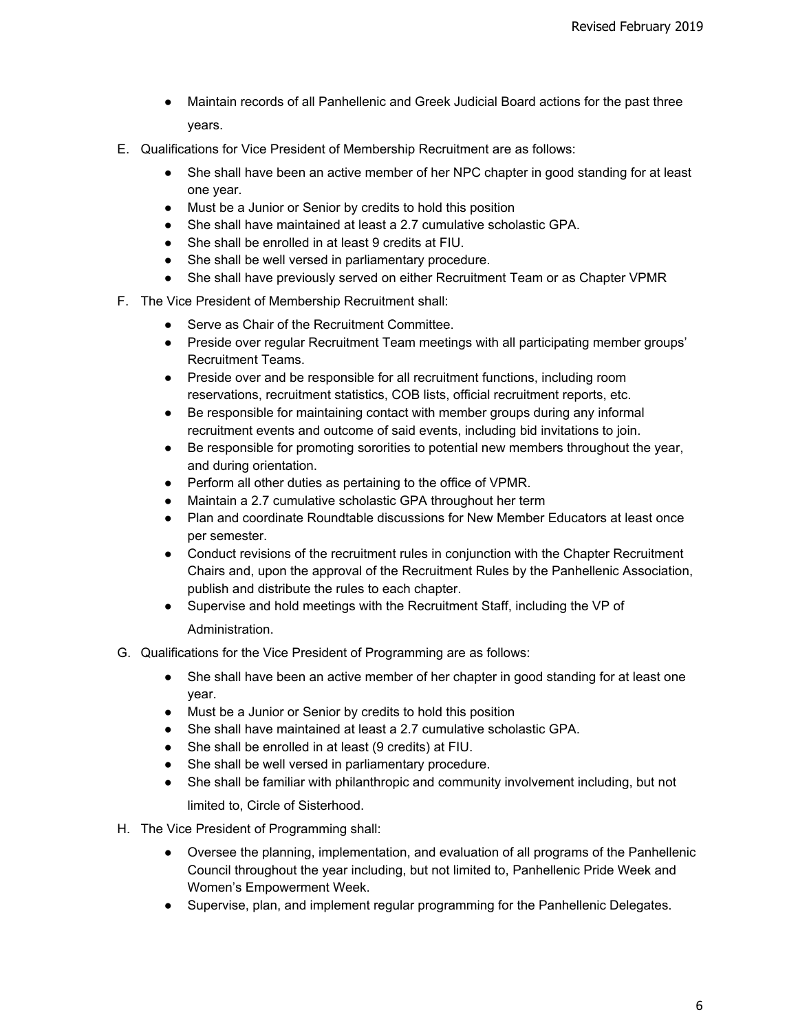- Maintain records of all Panhellenic and Greek Judicial Board actions for the past three years.
- E. Qualifications for Vice President of Membership Recruitment are as follows:
	- She shall have been an active member of her NPC chapter in good standing for at least one year.
	- Must be a Junior or Senior by credits to hold this position
	- She shall have maintained at least a 2.7 cumulative scholastic GPA.
	- She shall be enrolled in at least 9 credits at FIU.
	- She shall be well versed in parliamentary procedure.
	- She shall have previously served on either Recruitment Team or as Chapter VPMR
- F. The Vice President of Membership Recruitment shall:
	- Serve as Chair of the Recruitment Committee.
	- Preside over regular Recruitment Team meetings with all participating member groups' Recruitment Teams.
	- Preside over and be responsible for all recruitment functions, including room reservations, recruitment statistics, COB lists, official recruitment reports, etc.
	- Be responsible for maintaining contact with member groups during any informal recruitment events and outcome of said events, including bid invitations to join.
	- Be responsible for promoting sororities to potential new members throughout the year, and during orientation.
	- Perform all other duties as pertaining to the office of VPMR.
	- Maintain a 2.7 cumulative scholastic GPA throughout her term
	- Plan and coordinate Roundtable discussions for New Member Educators at least once per semester.
	- Conduct revisions of the recruitment rules in conjunction with the Chapter Recruitment Chairs and, upon the approval of the Recruitment Rules by the Panhellenic Association, publish and distribute the rules to each chapter.
	- Supervise and hold meetings with the Recruitment Staff, including the VP of Administration.
- G. Qualifications for the Vice President of Programming are as follows:
	- She shall have been an active member of her chapter in good standing for at least one year.
	- Must be a Junior or Senior by credits to hold this position
	- She shall have maintained at least a 2.7 cumulative scholastic GPA.
	- She shall be enrolled in at least (9 credits) at FIU.
	- She shall be well versed in parliamentary procedure.
	- She shall be familiar with philanthropic and community involvement including, but not limited to, Circle of Sisterhood.
- H. The Vice President of Programming shall:
	- Oversee the planning, implementation, and evaluation of all programs of the Panhellenic Council throughout the year including, but not limited to, Panhellenic Pride Week and Women's Empowerment Week.
	- Supervise, plan, and implement regular programming for the Panhellenic Delegates.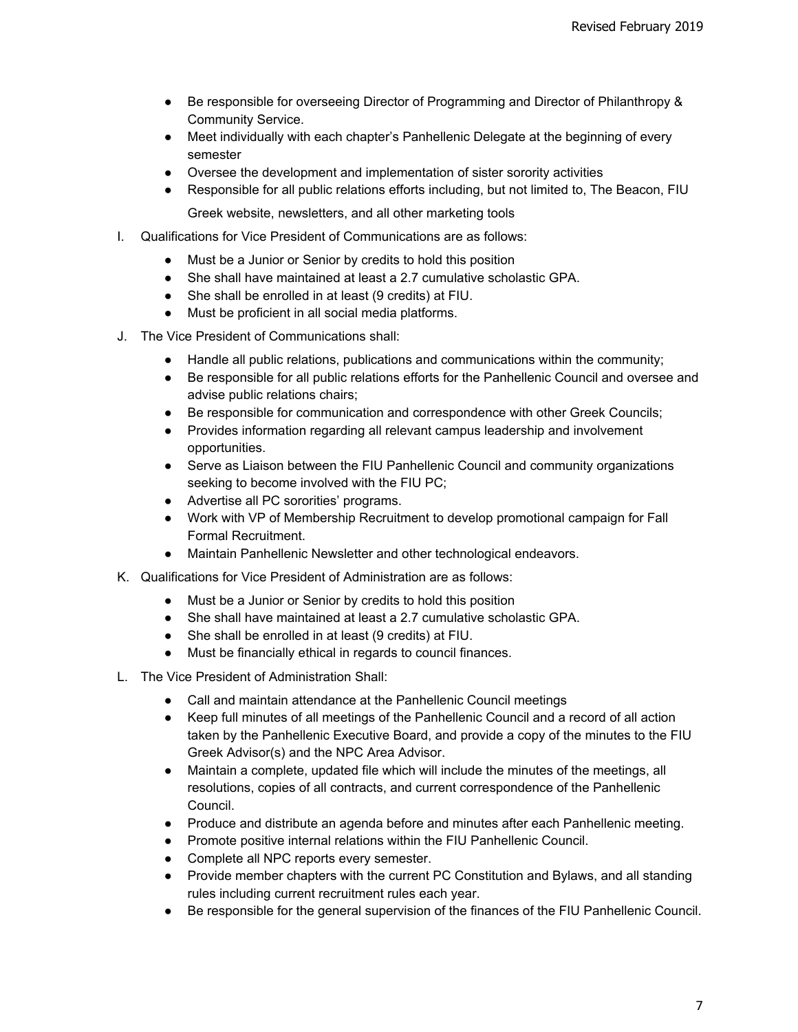- Be responsible for overseeing Director of Programming and Director of Philanthropy & Community Service.
- Meet individually with each chapter's Panhellenic Delegate at the beginning of every semester
- Oversee the development and implementation of sister sorority activities
- Responsible for all public relations efforts including, but not limited to, The Beacon, FIU Greek website, newsletters, and all other marketing tools
- I. Qualifications for Vice President of Communications are as follows:
	- Must be a Junior or Senior by credits to hold this position
	- She shall have maintained at least a 2.7 cumulative scholastic GPA.
	- She shall be enrolled in at least (9 credits) at FIU.
	- Must be proficient in all social media platforms.
- J. The Vice President of Communications shall:
	- Handle all public relations, publications and communications within the community;
	- Be responsible for all public relations efforts for the Panhellenic Council and oversee and advise public relations chairs;
	- Be responsible for communication and correspondence with other Greek Councils;
	- Provides information regarding all relevant campus leadership and involvement opportunities.
	- Serve as Liaison between the FIU Panhellenic Council and community organizations seeking to become involved with the FIU PC;
	- Advertise all PC sororities' programs.
	- Work with VP of Membership Recruitment to develop promotional campaign for Fall Formal Recruitment.
	- Maintain Panhellenic Newsletter and other technological endeavors.
- K. Qualifications for Vice President of Administration are as follows:
	- Must be a Junior or Senior by credits to hold this position
	- She shall have maintained at least a 2.7 cumulative scholastic GPA.
	- She shall be enrolled in at least (9 credits) at FIU.
	- Must be financially ethical in regards to council finances.
- L. The Vice President of Administration Shall:
	- Call and maintain attendance at the Panhellenic Council meetings
	- Keep full minutes of all meetings of the Panhellenic Council and a record of all action taken by the Panhellenic Executive Board, and provide a copy of the minutes to the FIU Greek Advisor(s) and the NPC Area Advisor.
	- Maintain a complete, updated file which will include the minutes of the meetings, all resolutions, copies of all contracts, and current correspondence of the Panhellenic Council.
	- Produce and distribute an agenda before and minutes after each Panhellenic meeting.
	- Promote positive internal relations within the FIU Panhellenic Council.
	- Complete all NPC reports every semester.
	- Provide member chapters with the current PC Constitution and Bylaws, and all standing rules including current recruitment rules each year.
	- Be responsible for the general supervision of the finances of the FIU Panhellenic Council.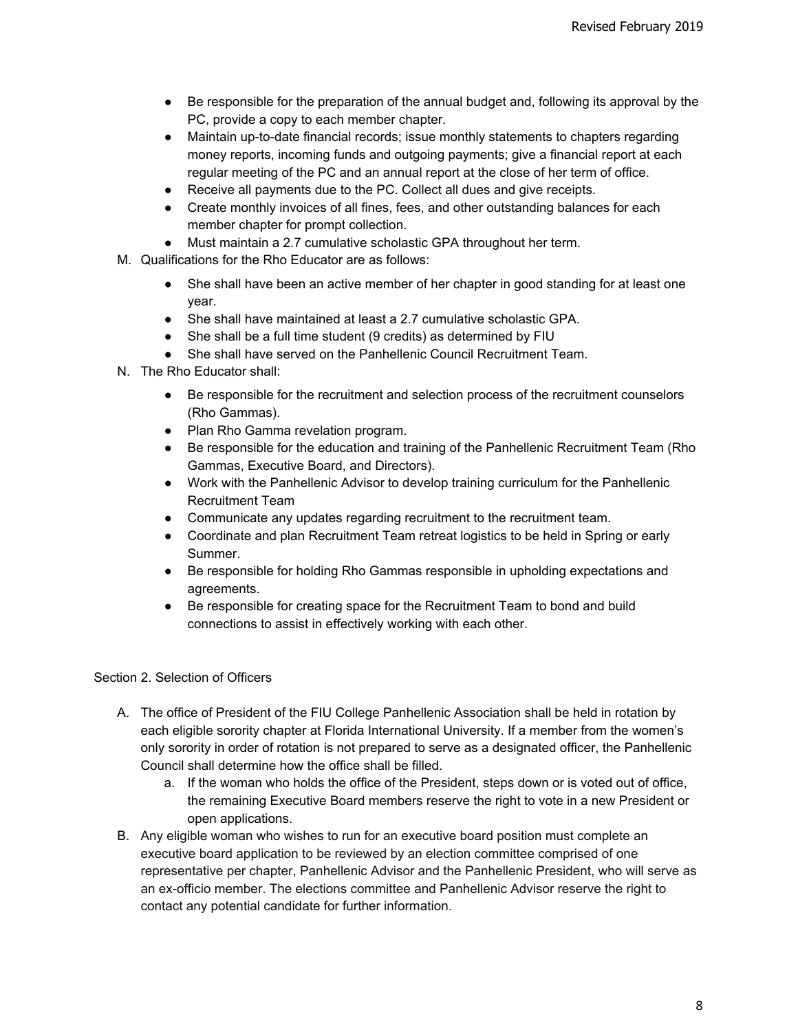- Be responsible for the preparation of the annual budget and, following its approval by the PC, provide a copy to each member chapter.
- Maintain up-to-date financial records; issue monthly statements to chapters regarding money reports, incoming funds and outgoing payments; give a financial report at each regular meeting of the PC and an annual report at the close of her term of office.
- Receive all payments due to the PC. Collect all dues and give receipts.
- Create monthly invoices of all fines, fees, and other outstanding balances for each member chapter for prompt collection.
- Must maintain a 2.7 cumulative scholastic GPA throughout her term.
- M. Qualifications for the Rho Educator are as follows:
	- She shall have been an active member of her chapter in good standing for at least one year.
	- She shall have maintained at least a 2.7 cumulative scholastic GPA.
	- She shall be a full time student (9 credits) as determined by FIU
	- She shall have served on the Panhellenic Council Recruitment Team.
- N. The Rho Educator shall:
	- Be responsible for the recruitment and selection process of the recruitment counselors (Rho Gammas).
	- Plan Rho Gamma revelation program.
	- Be responsible for the education and training of the Panhellenic Recruitment Team (Rho Gammas, Executive Board, and Directors).
	- Work with the Panhellenic Advisor to develop training curriculum for the Panhellenic Recruitment Team
	- Communicate any updates regarding recruitment to the recruitment team.
	- Coordinate and plan Recruitment Team retreat logistics to be held in Spring or early Summer.
	- Be responsible for holding Rho Gammas responsible in upholding expectations and agreements.
	- Be responsible for creating space for the Recruitment Team to bond and build connections to assist in effectively working with each other.

## Section 2. Selection of Officers

- A. The office of President of the FIU College Panhellenic Association shall be held in rotation by each eligible sorority chapter at Florida International University. If a member from the women's only sorority in order of rotation is not prepared to serve as a designated officer, the Panhellenic Council shall determine how the office shall be filled.
	- a. If the woman who holds the office of the President, steps down or is voted out of office, the remaining Executive Board members reserve the right to vote in a new President or open applications.
- B. Any eligible woman who wishes to run for an executive board position must complete an executive board application to be reviewed by an election committee comprised of one representative per chapter, Panhellenic Advisor and the Panhellenic President, who will serve as an ex-officio member. The elections committee and Panhellenic Advisor reserve the right to contact any potential candidate for further information.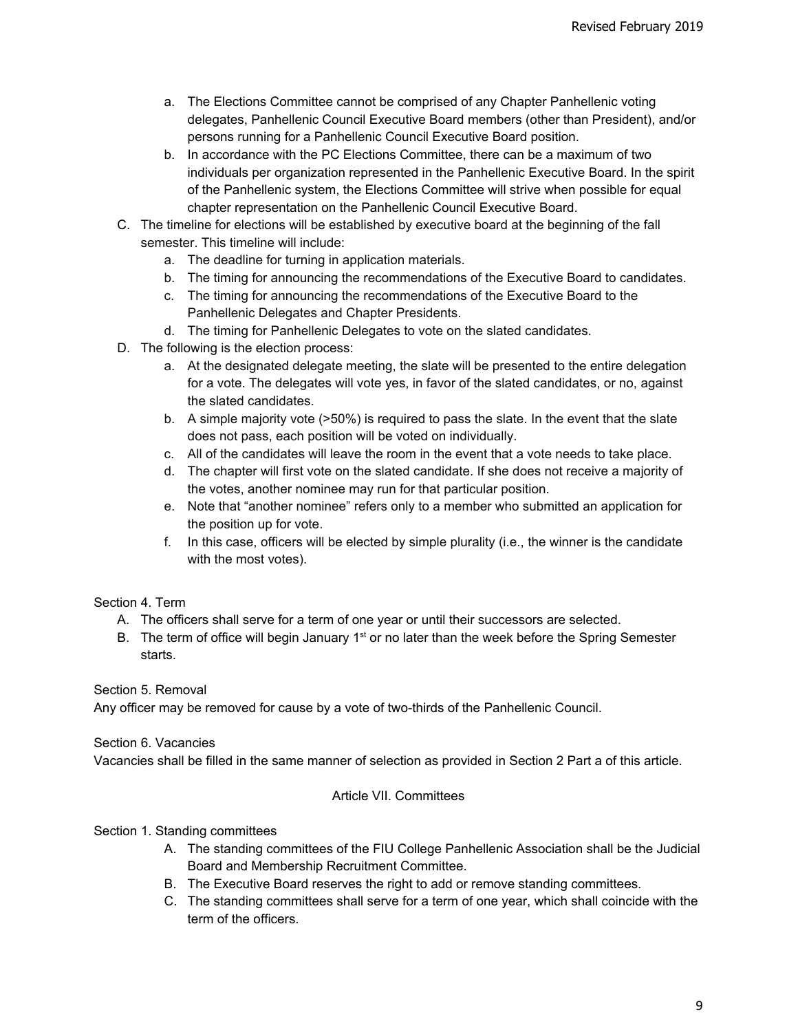- a. The Elections Committee cannot be comprised of any Chapter Panhellenic voting delegates, Panhellenic Council Executive Board members (other than President), and/or persons running for a Panhellenic Council Executive Board position.
- b. In accordance with the PC Elections Committee, there can be a maximum of two individuals per organization represented in the Panhellenic Executive Board. In the spirit of the Panhellenic system, the Elections Committee will strive when possible for equal chapter representation on the Panhellenic Council Executive Board.
- C. The timeline for elections will be established by executive board at the beginning of the fall semester. This timeline will include:
	- a. The deadline for turning in application materials.
	- b. The timing for announcing the recommendations of the Executive Board to candidates.
	- c. The timing for announcing the recommendations of the Executive Board to the Panhellenic Delegates and Chapter Presidents.
	- d. The timing for Panhellenic Delegates to vote on the slated candidates.
- D. The following is the election process:
	- a. At the designated delegate meeting, the slate will be presented to the entire delegation for a vote. The delegates will vote yes, in favor of the slated candidates, or no, against the slated candidates.
	- b. A simple majority vote (>50%) is required to pass the slate. In the event that the slate does not pass, each position will be voted on individually.
	- c. All of the candidates will leave the room in the event that a vote needs to take place.
	- d. The chapter will first vote on the slated candidate. If she does not receive a majority of the votes, another nominee may run for that particular position.
	- e. Note that "another nominee" refers only to a member who submitted an application for the position up for vote.
	- f. In this case, officers will be elected by simple plurality (i.e., the winner is the candidate with the most votes).

## Section 4. Term

- A. The officers shall serve for a term of one year or until their successors are selected.
- B. The term of office will begin January 1<sup>st</sup> or no later than the week before the Spring Semester starts.

Section 5. Removal

Any officer may be removed for cause by a vote of two-thirds of the Panhellenic Council.

Section 6. Vacancies

Vacancies shall be filled in the same manner of selection as provided in Section 2 Part a of this article.

## Article VII. Committees

Section 1. Standing committees

- A. The standing committees of the FIU College Panhellenic Association shall be the Judicial Board and Membership Recruitment Committee.
- B. The Executive Board reserves the right to add or remove standing committees.
- C. The standing committees shall serve for a term of one year, which shall coincide with the term of the officers.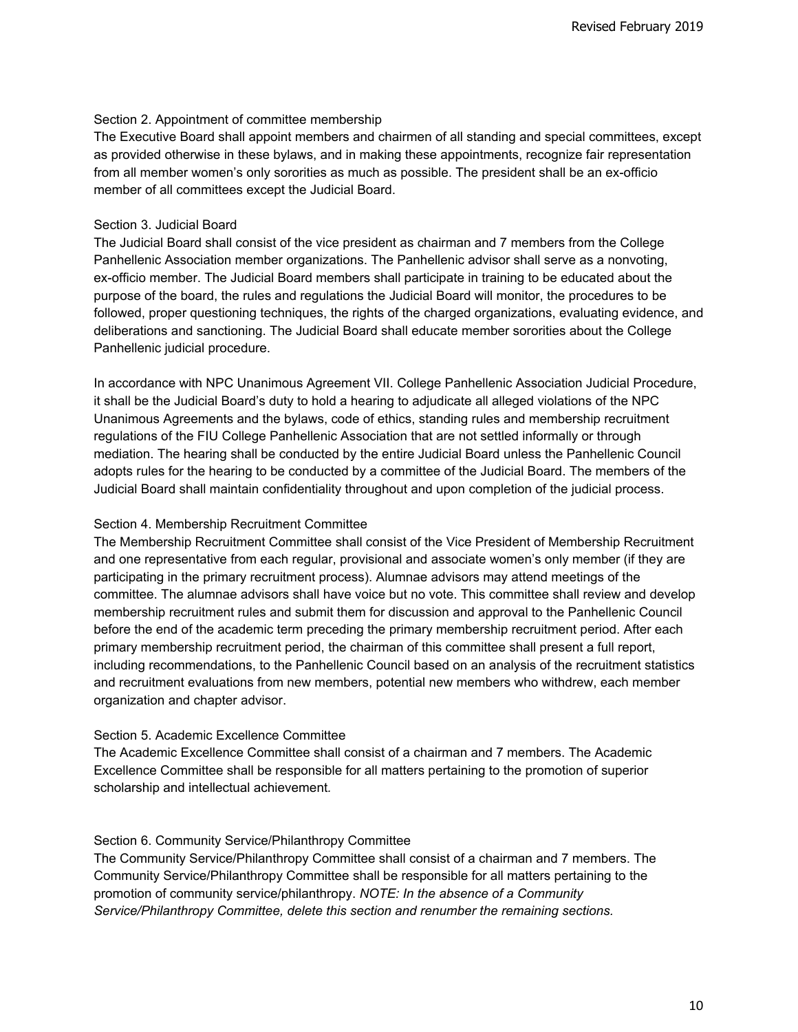#### Section 2. Appointment of committee membership

The Executive Board shall appoint members and chairmen of all standing and special committees, except as provided otherwise in these bylaws, and in making these appointments, recognize fair representation from all member women's only sororities as much as possible. The president shall be an ex-officio member of all committees except the Judicial Board.

#### Section 3. Judicial Board

The Judicial Board shall consist of the vice president as chairman and 7 members from the College Panhellenic Association member organizations. The Panhellenic advisor shall serve as a nonvoting, ex-officio member. The Judicial Board members shall participate in training to be educated about the purpose of the board, the rules and regulations the Judicial Board will monitor, the procedures to be followed, proper questioning techniques, the rights of the charged organizations, evaluating evidence, and deliberations and sanctioning. The Judicial Board shall educate member sororities about the College Panhellenic judicial procedure.

In accordance with NPC Unanimous Agreement VII. College Panhellenic Association Judicial Procedure, it shall be the Judicial Board's duty to hold a hearing to adjudicate all alleged violations of the NPC Unanimous Agreements and the bylaws, code of ethics, standing rules and membership recruitment regulations of the FIU College Panhellenic Association that are not settled informally or through mediation. The hearing shall be conducted by the entire Judicial Board unless the Panhellenic Council adopts rules for the hearing to be conducted by a committee of the Judicial Board. The members of the Judicial Board shall maintain confidentiality throughout and upon completion of the judicial process.

### Section 4. Membership Recruitment Committee

The Membership Recruitment Committee shall consist of the Vice President of Membership Recruitment and one representative from each regular, provisional and associate women's only member (if they are participating in the primary recruitment process). Alumnae advisors may attend meetings of the committee. The alumnae advisors shall have voice but no vote. This committee shall review and develop membership recruitment rules and submit them for discussion and approval to the Panhellenic Council before the end of the academic term preceding the primary membership recruitment period. After each primary membership recruitment period, the chairman of this committee shall present a full report, including recommendations, to the Panhellenic Council based on an analysis of the recruitment statistics and recruitment evaluations from new members, potential new members who withdrew, each member organization and chapter advisor.

#### Section 5. Academic Excellence Committee

The Academic Excellence Committee shall consist of a chairman and 7 members. The Academic Excellence Committee shall be responsible for all matters pertaining to the promotion of superior scholarship and intellectual achievement*.*

#### Section 6. Community Service/Philanthropy Committee

The Community Service/Philanthropy Committee shall consist of a chairman and 7 members. The Community Service/Philanthropy Committee shall be responsible for all matters pertaining to the promotion of community service/philanthropy. *NOTE: In the absence of a Community Service/Philanthropy Committee, delete this section and renumber the remaining sections.*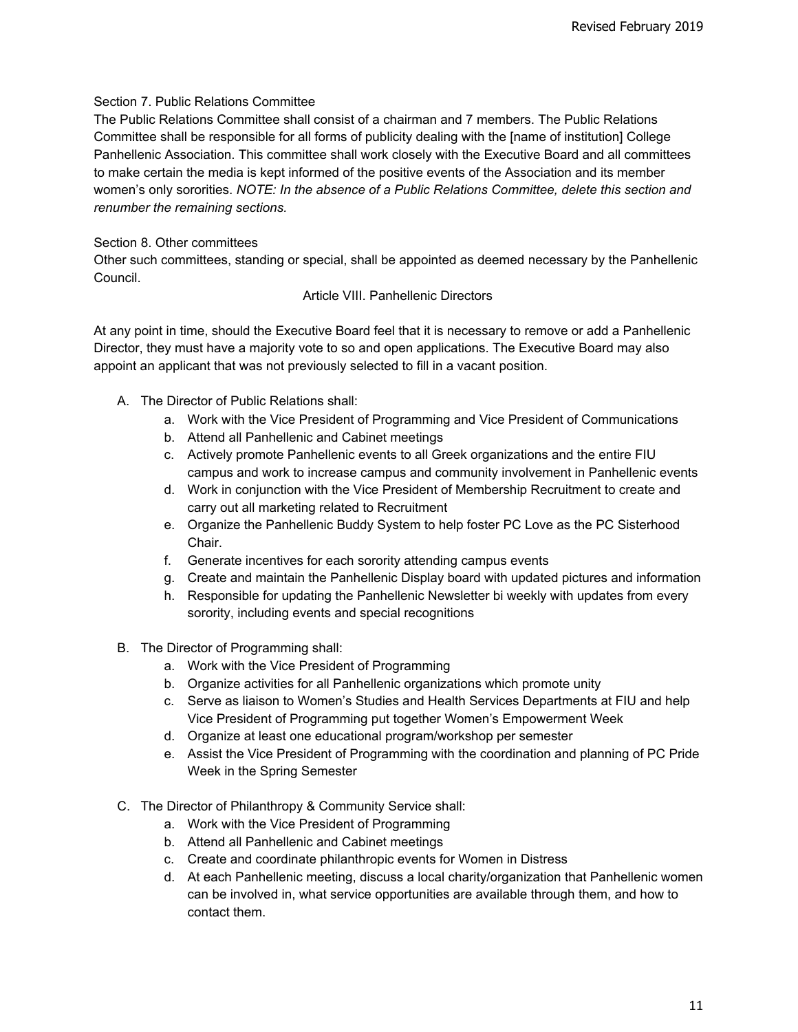# Section 7. Public Relations Committee

The Public Relations Committee shall consist of a chairman and 7 members. The Public Relations Committee shall be responsible for all forms of publicity dealing with the [name of institution] College Panhellenic Association. This committee shall work closely with the Executive Board and all committees to make certain the media is kept informed of the positive events of the Association and its member women's only sororities. *NOTE: In the absence of a Public Relations Committee, delete this section and renumber the remaining sections.*

## Section 8. Other committees

Other such committees, standing or special, shall be appointed as deemed necessary by the Panhellenic Council.

# Article VIII. Panhellenic Directors

At any point in time, should the Executive Board feel that it is necessary to remove or add a Panhellenic Director, they must have a majority vote to so and open applications. The Executive Board may also appoint an applicant that was not previously selected to fill in a vacant position.

- A. The Director of Public Relations shall:
	- a. Work with the Vice President of Programming and Vice President of Communications
	- b. Attend all Panhellenic and Cabinet meetings
	- c. Actively promote Panhellenic events to all Greek organizations and the entire FIU campus and work to increase campus and community involvement in Panhellenic events
	- d. Work in conjunction with the Vice President of Membership Recruitment to create and carry out all marketing related to Recruitment
	- e. Organize the Panhellenic Buddy System to help foster PC Love as the PC Sisterhood Chair.
	- f. Generate incentives for each sorority attending campus events
	- g. Create and maintain the Panhellenic Display board with updated pictures and information
	- h. Responsible for updating the Panhellenic Newsletter bi weekly with updates from every sorority, including events and special recognitions
- B. The Director of Programming shall:
	- a. Work with the Vice President of Programming
	- b. Organize activities for all Panhellenic organizations which promote unity
	- c. Serve as liaison to Women's Studies and Health Services Departments at FIU and help Vice President of Programming put together Women's Empowerment Week
	- d. Organize at least one educational program/workshop per semester
	- e. Assist the Vice President of Programming with the coordination and planning of PC Pride Week in the Spring Semester
- C. The Director of Philanthropy & Community Service shall:
	- a. Work with the Vice President of Programming
	- b. Attend all Panhellenic and Cabinet meetings
	- c. Create and coordinate philanthropic events for Women in Distress
	- d. At each Panhellenic meeting, discuss a local charity/organization that Panhellenic women can be involved in, what service opportunities are available through them, and how to contact them.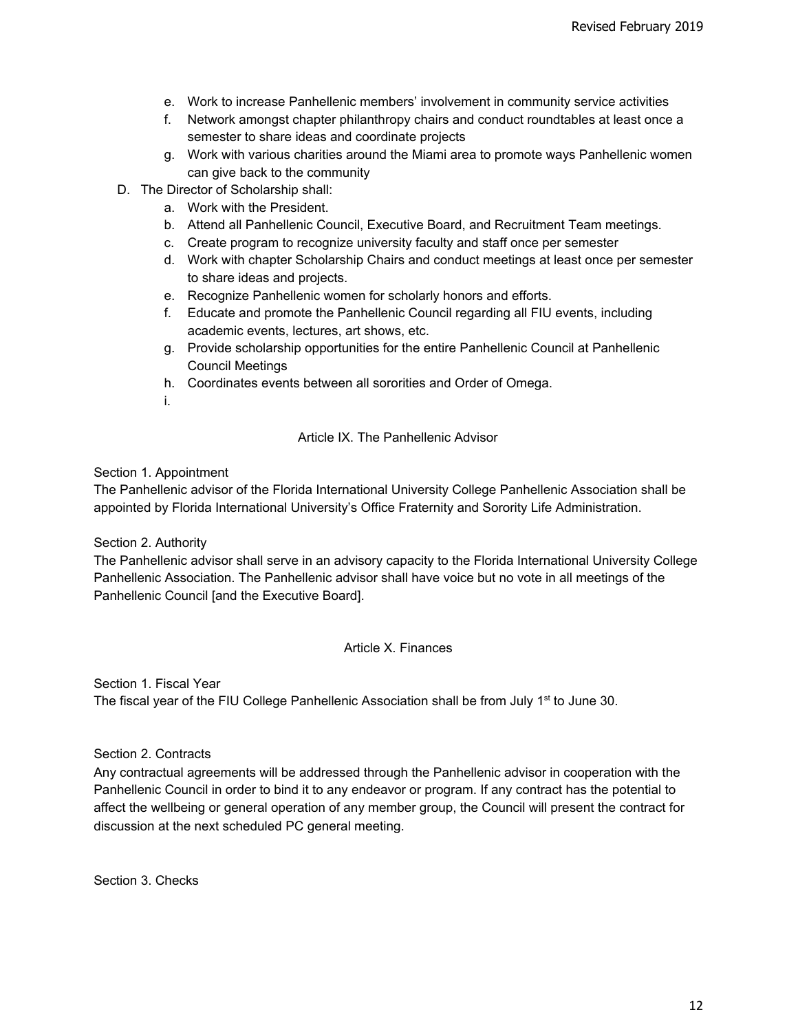- e. Work to increase Panhellenic members' involvement in community service activities
- f. Network amongst chapter philanthropy chairs and conduct roundtables at least once a semester to share ideas and coordinate projects
- g. Work with various charities around the Miami area to promote ways Panhellenic women can give back to the community
- D. The Director of Scholarship shall:
	- a. Work with the President.
	- b. Attend all Panhellenic Council, Executive Board, and Recruitment Team meetings.
	- c. Create program to recognize university faculty and staff once per semester
	- d. Work with chapter Scholarship Chairs and conduct meetings at least once per semester to share ideas and projects.
	- e. Recognize Panhellenic women for scholarly honors and efforts.
	- f. Educate and promote the Panhellenic Council regarding all FIU events, including academic events, lectures, art shows, etc.
	- g. Provide scholarship opportunities for the entire Panhellenic Council at Panhellenic Council Meetings
	- h. Coordinates events between all sororities and Order of Omega.
	- i.

# Article IX. The Panhellenic Advisor

Section 1. Appointment

The Panhellenic advisor of the Florida International University College Panhellenic Association shall be appointed by Florida International University's Office Fraternity and Sorority Life Administration.

Section 2. Authority

The Panhellenic advisor shall serve in an advisory capacity to the Florida International University College Panhellenic Association. The Panhellenic advisor shall have voice but no vote in all meetings of the Panhellenic Council [and the Executive Board].

# Article X. Finances

Section 1. Fiscal Year The fiscal year of the FIU College Panhellenic Association shall be from July 1<sup>st</sup> to June 30.

Section 2. Contracts

Any contractual agreements will be addressed through the Panhellenic advisor in cooperation with the Panhellenic Council in order to bind it to any endeavor or program. If any contract has the potential to affect the wellbeing or general operation of any member group, the Council will present the contract for discussion at the next scheduled PC general meeting.

Section 3. Checks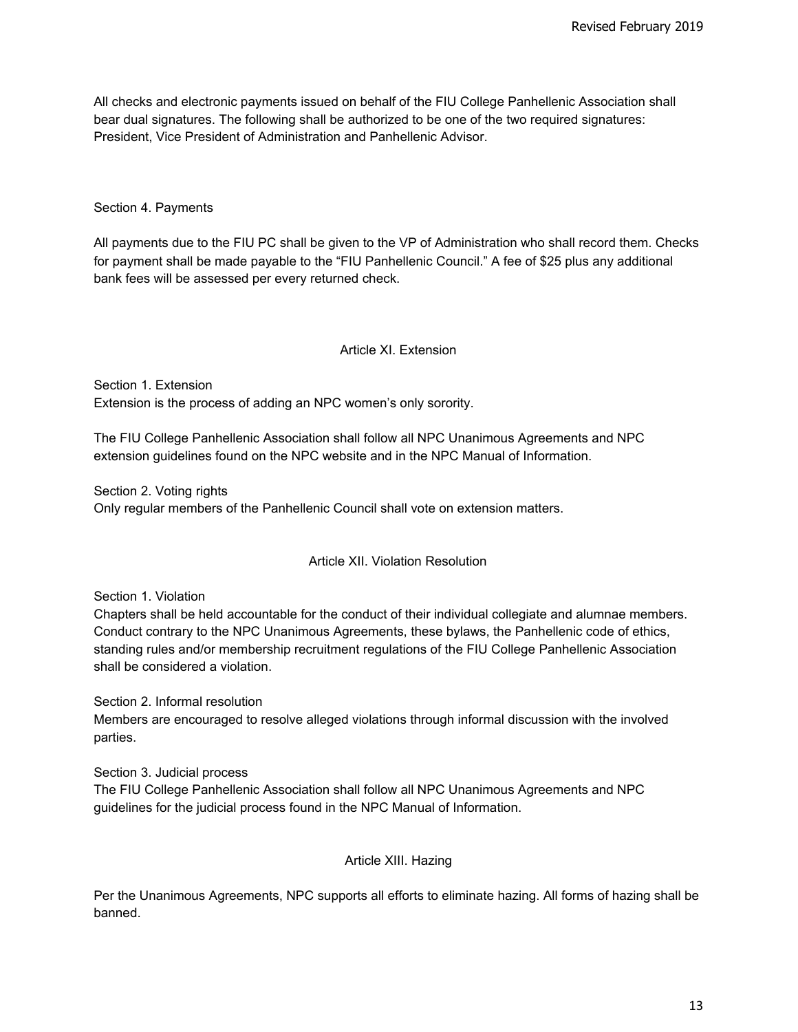All checks and electronic payments issued on behalf of the FIU College Panhellenic Association shall bear dual signatures. The following shall be authorized to be one of the two required signatures: President, Vice President of Administration and Panhellenic Advisor.

### Section 4. Payments

All payments due to the FIU PC shall be given to the VP of Administration who shall record them. Checks for payment shall be made payable to the "FIU Panhellenic Council." A fee of \$25 plus any additional bank fees will be assessed per every returned check.

#### Article XI. Extension

Section 1. Extension Extension is the process of adding an NPC women's only sorority.

The FIU College Panhellenic Association shall follow all NPC Unanimous Agreements and NPC extension guidelines found on the NPC website and in the NPC Manual of Information.

Section 2. Voting rights Only regular members of the Panhellenic Council shall vote on extension matters.

Article XII. Violation Resolution

Section 1. Violation

Chapters shall be held accountable for the conduct of their individual collegiate and alumnae members. Conduct contrary to the NPC Unanimous Agreements, these bylaws, the Panhellenic code of ethics, standing rules and/or membership recruitment regulations of the FIU College Panhellenic Association shall be considered a violation.

Section 2. Informal resolution

Members are encouraged to resolve alleged violations through informal discussion with the involved parties.

Section 3. Judicial process

The FIU College Panhellenic Association shall follow all NPC Unanimous Agreements and NPC guidelines for the judicial process found in the NPC Manual of Information.

Article XIII. Hazing

Per the Unanimous Agreements, NPC supports all efforts to eliminate hazing. All forms of hazing shall be banned.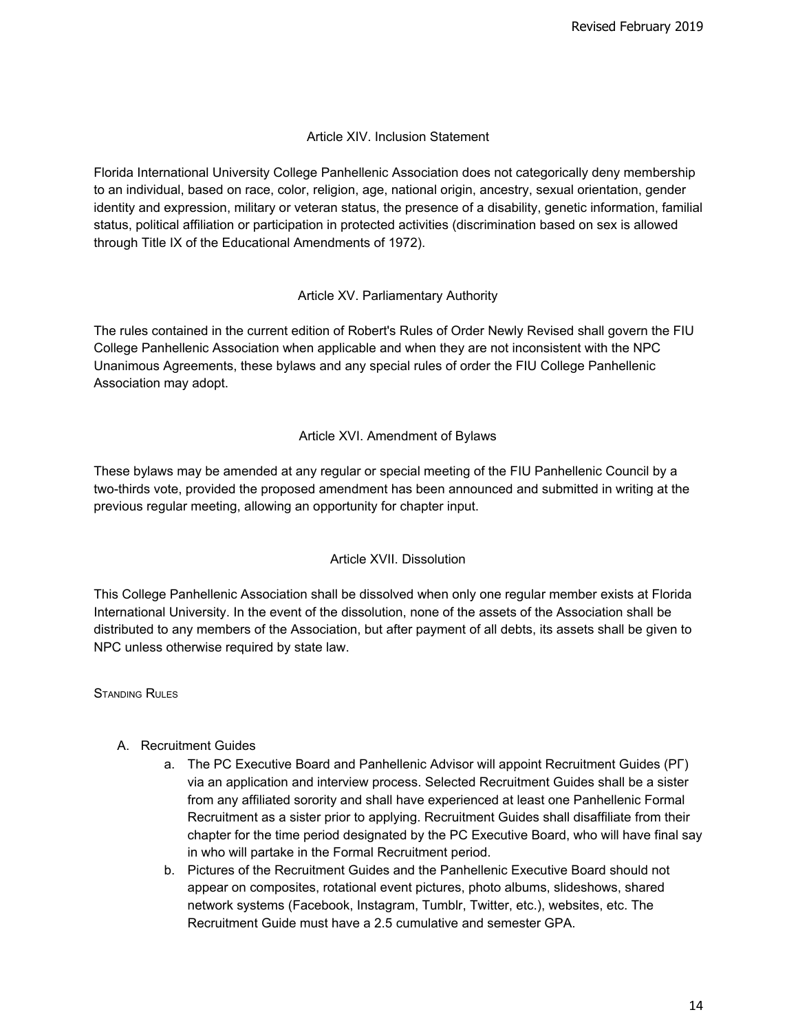## Article XIV. Inclusion Statement

Florida International University College Panhellenic Association does not categorically deny membership to an individual, based on race, color, religion, age, national origin, ancestry, sexual orientation, gender identity and expression, military or veteran status, the presence of a disability, genetic information, familial status, political affiliation or participation in protected activities (discrimination based on sex is allowed through Title IX of the Educational Amendments of 1972).

## Article XV. Parliamentary Authority

The rules contained in the current edition of Robert's Rules of Order Newly Revised shall govern the FIU College Panhellenic Association when applicable and when they are not inconsistent with the NPC Unanimous Agreements, these bylaws and any special rules of order the FIU College Panhellenic Association may adopt.

# Article XVI. Amendment of Bylaws

These bylaws may be amended at any regular or special meeting of the FIU Panhellenic Council by a two-thirds vote, provided the proposed amendment has been announced and submitted in writing at the previous regular meeting, allowing an opportunity for chapter input.

# Article XVII. Dissolution

This College Panhellenic Association shall be dissolved when only one regular member exists at Florida International University. In the event of the dissolution, none of the assets of the Association shall be distributed to any members of the Association, but after payment of all debts, its assets shall be given to NPC unless otherwise required by state law.

STANDING RULES

## A. Recruitment Guides

- a. The PC Executive Board and Panhellenic Advisor will appoint Recruitment Guides (ΡΓ) via an application and interview process. Selected Recruitment Guides shall be a sister from any affiliated sorority and shall have experienced at least one Panhellenic Formal Recruitment as a sister prior to applying. Recruitment Guides shall disaffiliate from their chapter for the time period designated by the PC Executive Board, who will have final say in who will partake in the Formal Recruitment period.
- b. Pictures of the Recruitment Guides and the Panhellenic Executive Board should not appear on composites, rotational event pictures, photo albums, slideshows, shared network systems (Facebook, Instagram, Tumblr, Twitter, etc.), websites, etc. The Recruitment Guide must have a 2.5 cumulative and semester GPA.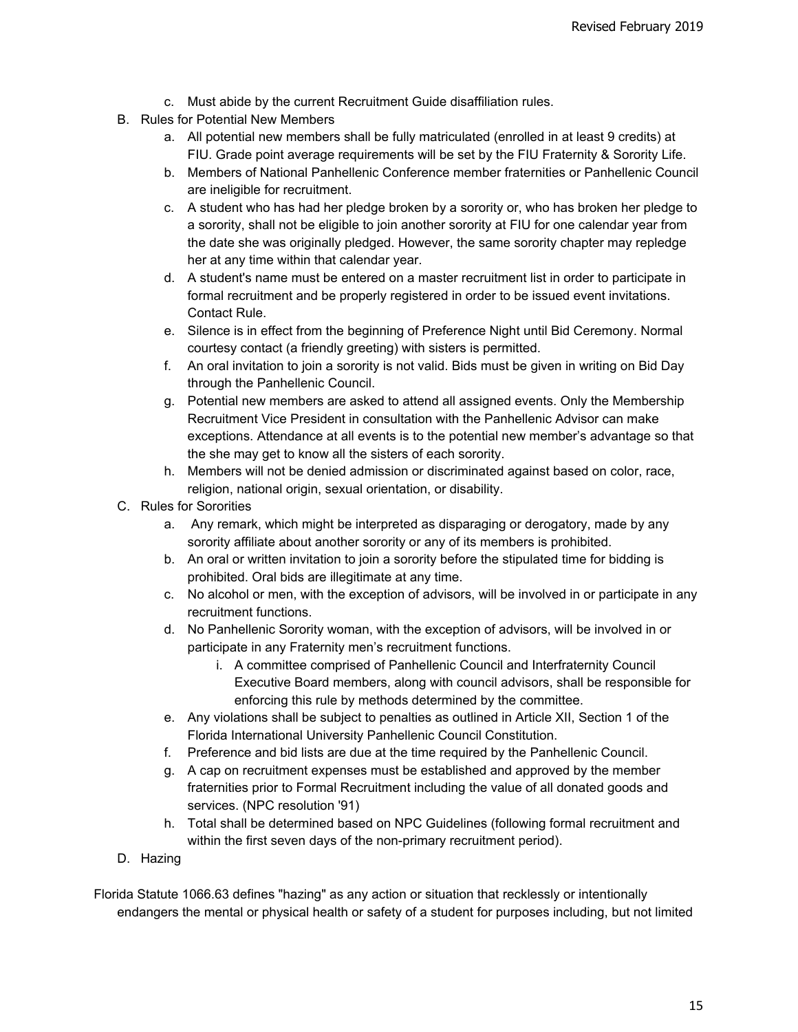- c. Must abide by the current Recruitment Guide disaffiliation rules.
- B. Rules for Potential New Members
	- a. All potential new members shall be fully matriculated (enrolled in at least 9 credits) at FIU. Grade point average requirements will be set by the FIU Fraternity & Sorority Life.
	- b. Members of National Panhellenic Conference member fraternities or Panhellenic Council are ineligible for recruitment.
	- c. A student who has had her pledge broken by a sorority or, who has broken her pledge to a sorority, shall not be eligible to join another sorority at FIU for one calendar year from the date she was originally pledged. However, the same sorority chapter may repledge her at any time within that calendar year.
	- d. A student's name must be entered on a master recruitment list in order to participate in formal recruitment and be properly registered in order to be issued event invitations. Contact Rule.
	- e. Silence is in effect from the beginning of Preference Night until Bid Ceremony. Normal courtesy contact (a friendly greeting) with sisters is permitted.
	- f. An oral invitation to join a sorority is not valid. Bids must be given in writing on Bid Day through the Panhellenic Council.
	- g. Potential new members are asked to attend all assigned events. Only the Membership Recruitment Vice President in consultation with the Panhellenic Advisor can make exceptions. Attendance at all events is to the potential new member's advantage so that the she may get to know all the sisters of each sorority.
	- h. Members will not be denied admission or discriminated against based on color, race, religion, national origin, sexual orientation, or disability.
- C. Rules for Sororities
	- a. Any remark, which might be interpreted as disparaging or derogatory, made by any sorority affiliate about another sorority or any of its members is prohibited.
	- b. An oral or written invitation to join a sorority before the stipulated time for bidding is prohibited. Oral bids are illegitimate at any time.
	- c. No alcohol or men, with the exception of advisors, will be involved in or participate in any recruitment functions.
	- d. No Panhellenic Sorority woman, with the exception of advisors, will be involved in or participate in any Fraternity men's recruitment functions.
		- i. A committee comprised of Panhellenic Council and Interfraternity Council Executive Board members, along with council advisors, shall be responsible for enforcing this rule by methods determined by the committee.
	- e. Any violations shall be subject to penalties as outlined in Article XII, Section 1 of the Florida International University Panhellenic Council Constitution.
	- f. Preference and bid lists are due at the time required by the Panhellenic Council.
	- g. A cap on recruitment expenses must be established and approved by the member fraternities prior to Formal Recruitment including the value of all donated goods and services. (NPC resolution '91)
	- h. Total shall be determined based on NPC Guidelines (following formal recruitment and within the first seven days of the non-primary recruitment period).
- D. Hazing

Florida Statute 1066.63 defines "hazing" as any action or situation that recklessly or intentionally endangers the mental or physical health or safety of a student for purposes including, but not limited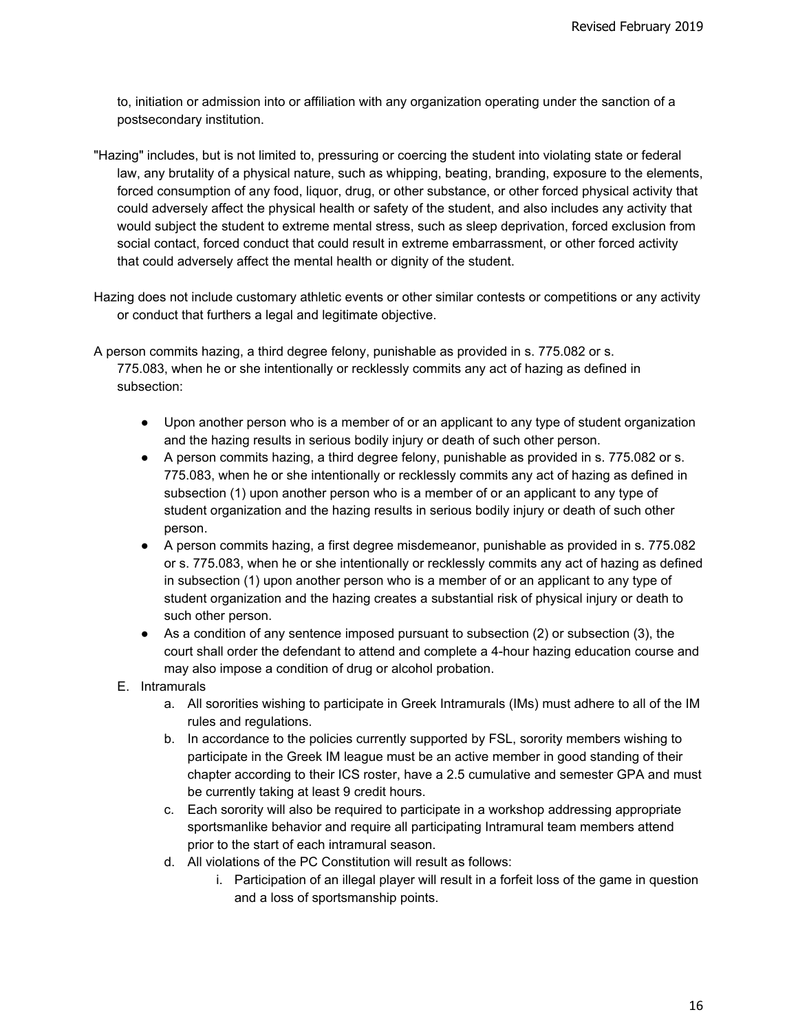to, initiation or admission into or affiliation with any organization operating under the sanction of a postsecondary institution.

- "Hazing" includes, but is not limited to, pressuring or coercing the student into violating state or federal law, any brutality of a physical nature, such as whipping, beating, branding, exposure to the elements, forced consumption of any food, liquor, drug, or other substance, or other forced physical activity that could adversely affect the physical health or safety of the student, and also includes any activity that would subject the student to extreme mental stress, such as sleep deprivation, forced exclusion from social contact, forced conduct that could result in extreme embarrassment, or other forced activity that could adversely affect the mental health or dignity of the student.
- Hazing does not include customary athletic events or other similar contests or competitions or any activity or conduct that furthers a legal and legitimate objective.
- A person commits hazing, a third degree felony, punishable as provided in s. 775.082 or s. 775.083, when he or she intentionally or recklessly commits any act of hazing as defined in subsection:
	- Upon another person who is a member of or an applicant to any type of student organization and the hazing results in serious bodily injury or death of such other person.
	- A person commits hazing, a third degree felony, punishable as provided in s. 775.082 or s. 775.083, when he or she intentionally or recklessly commits any act of hazing as defined in subsection (1) upon another person who is a member of or an applicant to any type of student organization and the hazing results in serious bodily injury or death of such other person.
	- A person commits hazing, a first degree misdemeanor, punishable as provided in s. 775.082 or s. 775.083, when he or she intentionally or recklessly commits any act of hazing as defined in subsection (1) upon another person who is a member of or an applicant to any type of student organization and the hazing creates a substantial risk of physical injury or death to such other person.
	- As a condition of any sentence imposed pursuant to subsection (2) or subsection (3), the court shall order the defendant to attend and complete a 4-hour hazing education course and may also impose a condition of drug or alcohol probation.
	- E. Intramurals
		- a. All sororities wishing to participate in Greek Intramurals (IMs) must adhere to all of the IM rules and regulations.
		- b. In accordance to the policies currently supported by FSL, sorority members wishing to participate in the Greek IM league must be an active member in good standing of their chapter according to their ICS roster, have a 2.5 cumulative and semester GPA and must be currently taking at least 9 credit hours.
		- c. Each sorority will also be required to participate in a workshop addressing appropriate sportsmanlike behavior and require all participating Intramural team members attend prior to the start of each intramural season.
		- d. All violations of the PC Constitution will result as follows:
			- i. Participation of an illegal player will result in a forfeit loss of the game in question and a loss of sportsmanship points.